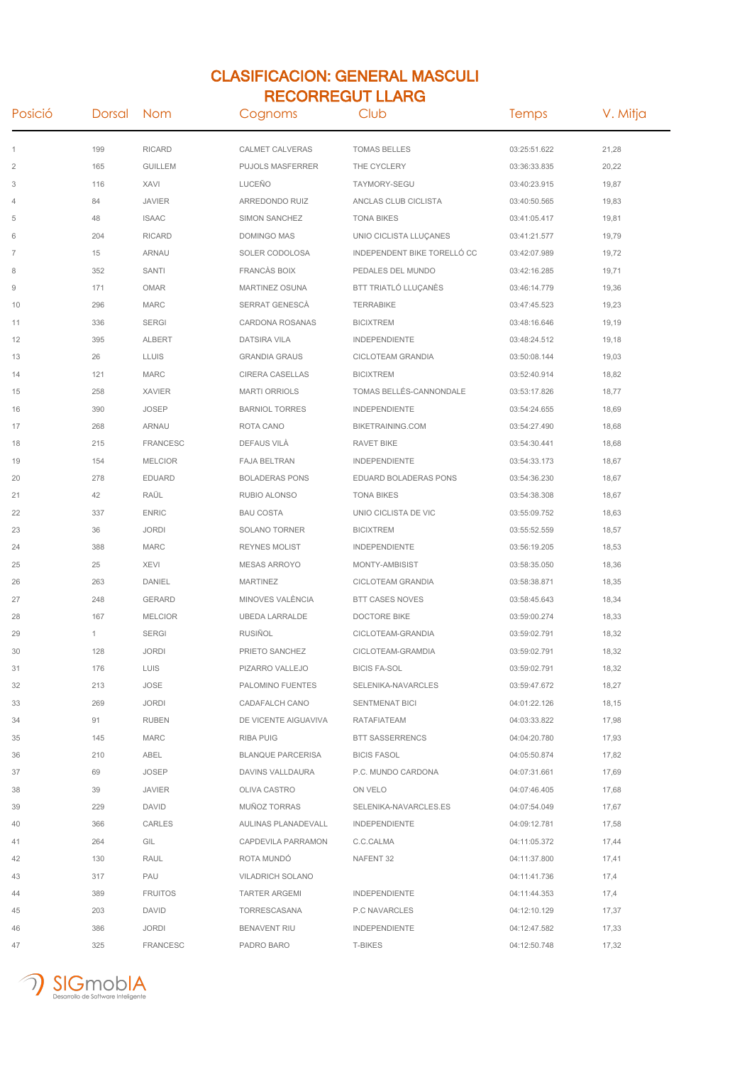## CLASIFICACION: GENERAL MASCULI RECORREGUT LLARG

| Posició        | Dorsal | Nom             | Cognoms                  | Club                        | <b>Temps</b> | V. Mitja |
|----------------|--------|-----------------|--------------------------|-----------------------------|--------------|----------|
| 1              | 199    | <b>RICARD</b>   | <b>CALMET CALVERAS</b>   | <b>TOMAS BELLES</b>         | 03:25:51.622 | 21,28    |
| $\overline{2}$ | 165    | <b>GUILLEM</b>  | <b>PUJOLS MASFERRER</b>  | THE CYCLERY                 | 03:36:33.835 | 20,22    |
| 3              | 116    | XAVI            | LUCEÑO                   | TAYMORY-SEGU                | 03:40:23.915 | 19,87    |
| 4              | 84     | <b>JAVIER</b>   | ARREDONDO RUIZ           | ANCLAS CLUB CICLISTA        | 03:40:50.565 | 19,83    |
| 5              | 48     | <b>ISAAC</b>    | SIMON SANCHEZ            | <b>TONA BIKES</b>           | 03:41:05.417 | 19,81    |
| 6              | 204    | <b>RICARD</b>   | DOMINGO MAS              | UNIO CICLISTA LLUÇANES      | 03:41:21.577 | 19,79    |
| $\overline{7}$ | 15     | ARNAU           | SOLER CODOLOSA           | INDEPENDENT BIKE TORELLÓ CC | 03:42:07.989 | 19,72    |
| 8              | 352    | <b>SANTI</b>    | <b>FRANCÀS BOIX</b>      | PEDALES DEL MUNDO           | 03:42:16.285 | 19,71    |
| 9              | 171    | <b>OMAR</b>     | MARTINEZ OSUNA           | BTT TRIATLÓ LLUCANÈS        | 03:46:14.779 | 19,36    |
| 10             | 296    | <b>MARC</b>     | SERRAT GENESCÀ           | <b>TERRABIKE</b>            | 03:47:45.523 | 19,23    |
| 11             | 336    | <b>SERGI</b>    | CARDONA ROSANAS          | <b>BICIXTREM</b>            | 03:48:16.646 | 19,19    |
| 12             | 395    | <b>ALBERT</b>   | <b>DATSIRA VILA</b>      | <b>INDEPENDIENTE</b>        | 03:48:24.512 | 19,18    |
| 13             | 26     | <b>LLUIS</b>    | <b>GRANDIA GRAUS</b>     | CICLOTEAM GRANDIA           | 03:50:08.144 | 19,03    |
| 14             | 121    | <b>MARC</b>     | CIRERA CASELLAS          | <b>BICIXTREM</b>            | 03:52:40.914 | 18,82    |
| 15             | 258    | <b>XAVIER</b>   | <b>MARTI ORRIOLS</b>     | TOMAS BELLÉS-CANNONDALE     | 03:53:17.826 | 18,77    |
| 16             | 390    | <b>JOSEP</b>    | <b>BARNIOL TORRES</b>    | <b>INDEPENDIENTE</b>        | 03:54:24.655 | 18,69    |
| 17             | 268    | <b>ARNAU</b>    | ROTA CANO                | BIKETRAINING.COM            | 03:54:27.490 | 18,68    |
| 18             | 215    | <b>FRANCESC</b> | DEFAUS VILA              | RAVET BIKE                  | 03:54:30.441 | 18,68    |
| 19             | 154    | <b>MELCIOR</b>  | <b>FAJA BELTRAN</b>      | <b>INDEPENDIENTE</b>        | 03:54:33.173 | 18,67    |
| 20             | 278    | <b>EDUARD</b>   | <b>BOLADERAS PONS</b>    | EDUARD BOLADERAS PONS       | 03:54:36.230 | 18,67    |
| 21             | 42     | RAÜL            | RUBIO ALONSO             | <b>TONA BIKES</b>           | 03:54:38.308 | 18,67    |
| 22             | 337    | <b>ENRIC</b>    | <b>BAU COSTA</b>         | UNIO CICLISTA DE VIC        | 03:55:09.752 | 18,63    |
| 23             | 36     | <b>JORDI</b>    | SOLANO TORNER            | <b>BICIXTREM</b>            | 03:55:52.559 | 18,57    |
| 24             | 388    | <b>MARC</b>     | <b>REYNES MOLIST</b>     | <b>INDEPENDIENTE</b>        | 03:56:19.205 | 18,53    |
| 25             | 25     | <b>XEVI</b>     | <b>MESAS ARROYO</b>      | MONTY-AMBISIST              | 03:58:35.050 | 18,36    |
| 26             | 263    | DANIEL          | <b>MARTINEZ</b>          | CICLOTEAM GRANDIA           | 03:58:38.871 | 18,35    |
| 27             | 248    | GERARD          | MINOVES VALÈNCIA         | <b>BTT CASES NOVES</b>      | 03:58:45.643 | 18,34    |
| 28             | 167    | <b>MELCIOR</b>  | <b>UBEDA LARRALDE</b>    | <b>DOCTORE BIKE</b>         | 03:59:00.274 | 18,33    |
| 29             | 1      | <b>SERGI</b>    | <b>RUSIÑOL</b>           | CICLOTEAM-GRANDIA           | 03:59:02.791 | 18,32    |
| 30             | 128    | <b>JORDI</b>    | PRIETO SANCHEZ           | CICLOTEAM-GRAMDIA           | 03:59:02.791 | 18,32    |
| 31             | 176    | LUIS            | PIZARRO VALLEJO          | <b>BICIS FA-SOL</b>         | 03:59:02.791 | 18,32    |
| 32             | 213    | JOSE            | PALOMINO FUENTES         | SELENIKA-NAVARCLES          | 03:59:47.672 | 18,27    |
| 33             | 269    | <b>JORDI</b>    | CADAFALCH CANO           | SENTMENAT BICI              | 04:01:22.126 | 18,15    |
| 34             | 91     | <b>RUBEN</b>    | DE VICENTE AIGUAVIVA     | RATAFIATEAM                 | 04:03:33.822 | 17,98    |
| 35             | 145    | <b>MARC</b>     | <b>RIBA PUIG</b>         | <b>BTT SASSERRENCS</b>      | 04:04:20.780 | 17,93    |
| 36             | 210    | ABEL            | <b>BLANQUE PARCERISA</b> | <b>BICIS FASOL</b>          | 04:05:50.874 | 17,82    |
| 37             | 69     | <b>JOSEP</b>    | DAVINS VALLDAURA         | P.C. MUNDO CARDONA          | 04:07:31.661 | 17,69    |
| 38             | 39     | <b>JAVIER</b>   | OLIVA CASTRO             | ON VELO                     | 04:07:46.405 | 17,68    |
| 39             | 229    | DAVID           | MUÑOZ TORRAS             | SELENIKA-NAVARCLES.ES       | 04:07:54.049 | 17,67    |
| 40             | 366    | CARLES          | AULINAS PLANADEVALL      | <b>INDEPENDIENTE</b>        | 04:09:12.781 | 17,58    |
| 41             | 264    | GIL             | CAPDEVILA PARRAMON       | C.C.CALMA                   | 04:11:05.372 | 17,44    |
| 42             | 130    | RAUL            | ROTA MUNDO               | NAFENT 32                   | 04:11:37.800 | 17,41    |
| 43             | 317    | PAU             | VILADRICH SOLANO         |                             | 04:11:41.736 | 17,4     |
| 44             | 389    | <b>FRUITOS</b>  | <b>TARTER ARGEMI</b>     | <b>INDEPENDIENTE</b>        | 04:11:44.353 | 17,4     |
| 45             | 203    | DAVID           | TORRESCASANA             | P.C NAVARCLES               | 04:12:10.129 | 17,37    |
| 46             | 386    | <b>JORDI</b>    | <b>BENAVENT RIU</b>      | <b>INDEPENDIENTE</b>        | 04:12:47.582 | 17,33    |
| 47             | 325    | <b>FRANCESC</b> | PADRO BARO               | T-BIKES                     | 04:12:50.748 | 17,32    |

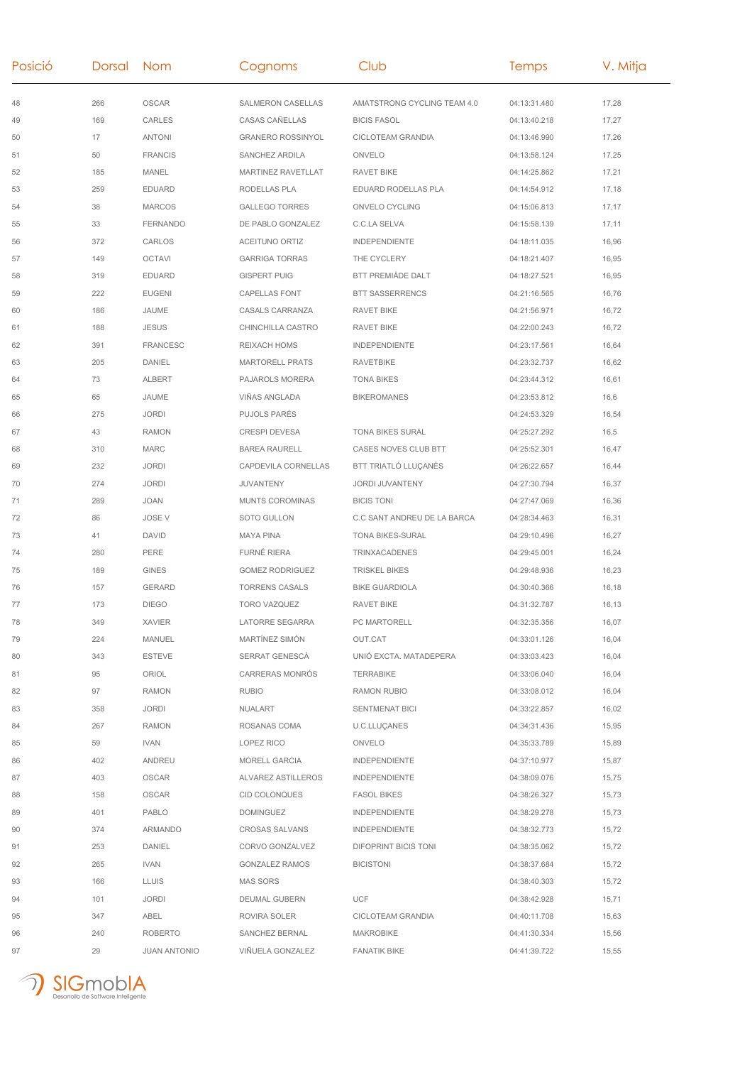| Posició | Dorsal Nom |                     | Cognoms                  | Club                        | <b>Temps</b> | V. Mitja |
|---------|------------|---------------------|--------------------------|-----------------------------|--------------|----------|
| 48      | 266        | <b>OSCAR</b>        | SALMERON CASELLAS        | AMATSTRONG CYCLING TEAM 4.0 | 04:13:31.480 | 17,28    |
| 49      | 169        | <b>CARLES</b>       | CASAS CAÑELLAS           | <b>BICIS FASOL</b>          | 04:13:40.218 | 17,27    |
| 50      | 17         | <b>ANTONI</b>       | <b>GRANERO ROSSINYOL</b> | CICLOTEAM GRANDIA           | 04:13:46.990 | 17,26    |
| 51      | 50         | <b>FRANCIS</b>      | SANCHEZ ARDILA           | ONVELO                      | 04:13:58.124 | 17,25    |
| 52      | 185        | MANEL               | MARTINEZ RAVETLLAT       | <b>RAVET BIKE</b>           | 04:14:25.862 | 17,21    |
| 53      | 259        | <b>EDUARD</b>       | RODELLAS PLA             | EDUARD RODELLAS PLA         | 04:14:54.912 | 17,18    |
| 54      | 38         | <b>MARCOS</b>       | <b>GALLEGO TORRES</b>    | ONVELO CYCLING              | 04:15:06.813 | 17,17    |
| 55      | 33         | <b>FERNANDO</b>     | DE PABLO GONZALEZ        | C.C.LA SELVA                | 04:15:58.139 | 17,11    |
| 56      | 372        | CARLOS              | <b>ACEITUNO ORTIZ</b>    | <b>INDEPENDIENTE</b>        | 04:18:11.035 | 16,96    |
| 57      | 149        | <b>OCTAVI</b>       | <b>GARRIGA TORRAS</b>    | THE CYCLERY                 | 04:18:21.407 | 16,95    |
| 58      | 319        | <b>EDUARD</b>       | <b>GISPERT PUIG</b>      | BTT PREMIÀDE DALT           | 04:18:27.521 | 16,95    |
| 59      | 222        | <b>EUGENI</b>       | <b>CAPELLAS FONT</b>     | <b>BTT SASSERRENCS</b>      | 04:21:16.565 | 16,76    |
| 60      | 186        | JAUME               | CASALS CARRANZA          | RAVET BIKE                  | 04:21:56.971 | 16,72    |
| 61      | 188        | <b>JESUS</b>        | CHINCHILLA CASTRO        | RAVET BIKE                  | 04:22:00.243 | 16,72    |
| 62      | 391        | <b>FRANCESC</b>     | REIXACH HOMS             | <b>INDEPENDIENTE</b>        | 04:23:17.561 | 16,64    |
| 63      | 205        | <b>DANIEL</b>       | <b>MARTORELL PRATS</b>   | <b>RAVETBIKE</b>            | 04:23:32.737 | 16,62    |
| 64      | 73         | <b>ALBERT</b>       | PAJAROLS MORERA          | <b>TONA BIKES</b>           | 04:23:44.312 | 16,61    |
| 65      | 65         | JAUME               | VIÑAS ANGLADA            | <b>BIKEROMANES</b>          | 04:23:53.812 | 16,6     |
| 66      | 275        | <b>JORDI</b>        | <b>PUJOLS PARÉS</b>      |                             | 04:24:53.329 | 16,54    |
| 67      | 43         | <b>RAMON</b>        | <b>CRESPI DEVESA</b>     | <b>TONA BIKES SURAL</b>     | 04:25:27.292 | 16,5     |
| 68      | 310        | <b>MARC</b>         | <b>BAREA RAURELL</b>     | CASES NOVES CLUB BTT        | 04:25:52.301 | 16,47    |
| 69      | 232        | <b>JORDI</b>        | CAPDEVILA CORNELLAS      | BTT TRIATLÓ LLUÇANÈS        | 04:26:22.657 | 16,44    |
| 70      | 274        | <b>JORDI</b>        | JUVANTENY                | JORDI JUVANTENY             | 04:27:30.794 | 16,37    |
| 71      | 289        | <b>JOAN</b>         | MUNTS COROMINAS          | <b>BICIS TONI</b>           | 04:27:47.069 | 16,36    |
| 72      | 86         | <b>JOSE V</b>       | SOTO GULLON              | C.C SANT ANDREU DE LA BARCA | 04:28:34.463 | 16,31    |
| 73      | 41         | <b>DAVID</b>        | <b>MAYA PINA</b>         | TONA BIKES-SURAL            | 04:29:10.496 | 16,27    |
| 74      | 280        | PERE                | FURNÉ RIERA              | TRINXACADENES               | 04:29:45.001 | 16,24    |
| 75      | 189        | <b>GINES</b>        | <b>GOMEZ RODRIGUEZ</b>   | <b>TRISKEL BIKES</b>        | 04:29:48.936 | 16,23    |
| 76      | 157        | GERARD              | <b>TORRENS CASALS</b>    | <b>BIKE GUARDIOLA</b>       | 04:30:40.366 | 16,18    |
| 77      | 173        | <b>DIEGO</b>        | TORO VAZQUEZ             | RAVET BIKE                  | 04:31:32.787 | 16,13    |
| 78      | 349        | XAVIER              | LATORRE SEGARRA          | PC MARTORELL                | 04:32:35.356 | 16,07    |
| 79      | 224        | MANUEL              | MARTÍNEZ SIMÓN           | OUT.CAT                     | 04:33:01.126 | 16,04    |
| 80      | 343        | <b>ESTEVE</b>       | SERRAT GENESCÀ           | UNIÓ EXCTA. MATADEPERA      | 04:33:03.423 | 16,04    |
| 81      | 95         | ORIOL               | CARRERAS MONRÓS          | <b>TERRABIKE</b>            | 04:33:06.040 | 16,04    |
| 82      | 97         | <b>RAMON</b>        | <b>RUBIO</b>             | RAMON RUBIO                 | 04:33:08.012 | 16,04    |
| 83      | 358        | JORDI               | NUALART                  | SENTMENAT BICI              | 04:33:22.857 | 16,02    |
| 84      | 267        | <b>RAMON</b>        | ROSANAS COMA             | <b>U.C.LLUÇANES</b>         | 04:34:31.436 | 15,95    |
| 85      | 59         | IVAN                | LOPEZ RICO               | ONVELO                      | 04:35:33.789 | 15,89    |
| 86      | 402        | ANDREU              | <b>MORELL GARCIA</b>     | <b>INDEPENDIENTE</b>        | 04:37:10.977 | 15,87    |
| 87      | 403        | <b>OSCAR</b>        | ALVAREZ ASTILLEROS       | <b>INDEPENDIENTE</b>        | 04:38:09.076 | 15,75    |
| 88      | 158        | <b>OSCAR</b>        | <b>CID COLONQUES</b>     | <b>FASOL BIKES</b>          | 04:38:26.327 | 15,73    |
| 89      | 401        | PABLO               | <b>DOMINGUEZ</b>         | INDEPENDIENTE               | 04:38:29.278 | 15,73    |
| 90      | 374        | ARMANDO             | CROSAS SALVANS           | INDEPENDIENTE               | 04:38:32.773 | 15,72    |
| 91      | 253        | DANIEL              | CORVO GONZALVEZ          | DIFOPRINT BICIS TONI        | 04:38:35.062 | 15,72    |
| 92      | 265        | <b>IVAN</b>         | GONZALEZ RAMOS           | <b>BICISTONI</b>            | 04:38:37.684 | 15,72    |
| 93      | 166        | <b>LLUIS</b>        | MAS SORS                 |                             | 04:38:40.303 | 15,72    |
| 94      | 101        | <b>JORDI</b>        | DEUMAL GUBERN            | <b>UCF</b>                  | 04:38:42.928 | 15,71    |
| 95      | 347        | ABEL                | ROVIRA SOLER             | CICLOTEAM GRANDIA           | 04:40:11.708 | 15,63    |
| 96      | 240        | <b>ROBERTO</b>      | SANCHEZ BERNAL           | <b>MAKROBIKE</b>            | 04:41:30.334 | 15,56    |
| 97      | 29         | <b>JUAN ANTONIO</b> | VIÑUELA GONZALEZ         | <b>FANATIK BIKE</b>         | 04:41:39.722 | 15,55    |
|         |            |                     |                          |                             |              |          |

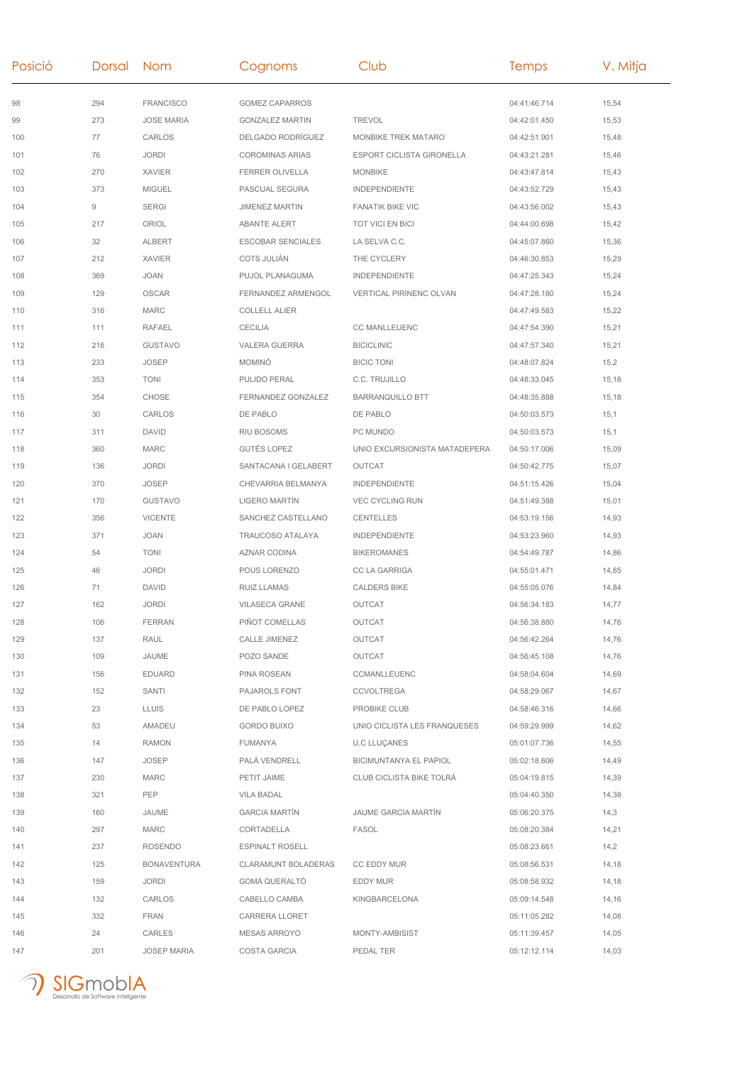| Posició | Dorsal | <b>Nom</b>         | Cognoms                  | Club                          | Temps        | V. Mitja |
|---------|--------|--------------------|--------------------------|-------------------------------|--------------|----------|
| 98      | 294    | <b>FRANCISCO</b>   | <b>GOMEZ CAPARROS</b>    |                               | 04:41:46.714 | 15,54    |
| 99      | 273    | <b>JOSE MARIA</b>  | <b>GONZALEZ MARTIN</b>   | <b>TREVOL</b>                 | 04:42:01.450 | 15,53    |
| 100     | 77     | CARLOS             | DELGADO RODRÍGUEZ        | MONBIKE TREK MATARO           | 04:42:51.901 | 15,48    |
| 101     | 76     | <b>JORDI</b>       | <b>COROMINAS ARIAS</b>   | ESPORT CICLISTA GIRONELLA     | 04:43:21.281 | 15,46    |
| 102     | 270    | <b>XAVIER</b>      | FERRER OLIVELLA          | <b>MONBIKE</b>                | 04:43:47.814 | 15,43    |
| 103     | 373    | <b>MIGUEL</b>      | PASCUAL SEGURA           | <b>INDEPENDIENTE</b>          | 04:43:52.729 | 15,43    |
| 104     | 9      | <b>SERGI</b>       | <b>JIMENEZ MARTIN</b>    | <b>FANATIK BIKE VIC</b>       | 04:43:56.002 | 15,43    |
| 105     | 217    | ORIOL              | <b>ABANTE ALERT</b>      | TOT VICI EN BICI              | 04:44:00.698 | 15,42    |
| 106     | 32     | <b>ALBERT</b>      | <b>ESCOBAR SENCIALES</b> | LA SELVA C.C.                 | 04:45:07.860 | 15,36    |
| 107     | 212    | <b>XAVIER</b>      | COTS JULIÁN              | THE CYCLERY                   | 04:46:30.853 | 15,29    |
| 108     | 369    | <b>JOAN</b>        | PUJOL PLANAGUMA          | <b>INDEPENDIENTE</b>          | 04:47:25.343 | 15,24    |
| 109     | 129    | OSCAR              | FERNANDEZ ARMENGOL       | VERTICAL PIRINENC OLVAN       | 04:47:28.180 | 15,24    |
| 110     | 316    | MARC               | <b>COLLELL ALIER</b>     |                               | 04:47:49.583 | 15,22    |
| 111     | 111    | <b>RAFAEL</b>      | CECILIA                  | CC MANLLEUENC                 | 04:47:54.390 | 15,21    |
| 112     | 216    | <b>GUSTAVO</b>     | VALERA GUERRA            | <b>BICICLINIC</b>             | 04:47:57.340 | 15,21    |
| 113     | 233    | <b>JOSEP</b>       | <b>MOMINÓ</b>            | <b>BICIC TONI</b>             | 04:48:07.824 | 15,2     |
| 114     | 353    | <b>TONI</b>        | PULIDO PERAL             | C.C. TRUJILLO                 | 04:48:33.045 | 15,18    |
| 115     | 354    | CHOSE              | FERNANDEZ GONZALEZ       | <b>BARRANQUILLO BTT</b>       | 04:48:35.888 | 15,18    |
| 116     | 30     | CARLOS             | DE PABLO                 | DE PABLO                      | 04:50:03.573 | 15,1     |
| 117     | 311    | <b>DAVID</b>       | <b>RIU BOSOMS</b>        | PC MUNDO                      | 04:50:03.573 | 15,1     |
| 118     | 360    | MARC               | <b>GUTÉS LOPEZ</b>       | UNIO EXCURSIONISTA MATADEPERA | 04:50:17.006 | 15,09    |
| 119     | 136    | <b>JORDI</b>       | SANTACANA I GELABERT     | OUTCAT                        | 04:50:42.775 | 15,07    |
| 120     | 370    | <b>JOSEP</b>       | CHEVARRIA BELMANYA       | INDEPENDIENTE                 | 04:51:15.426 | 15,04    |
| 121     | 170    | <b>GUSTAVO</b>     | LIGERO MARTÍN            | <b>VEC CYCLING RUN</b>        | 04:51:49.388 | 15,01    |
| 122     | 356    | <b>VICENTE</b>     | SANCHEZ CASTELLANO       | CENTELLES                     | 04:53:19.156 | 14,93    |
| 123     | 371    | <b>JOAN</b>        | TRAUCOSO ATALAYA         | INDEPENDIENTE                 | 04:53:23.960 | 14,93    |
| 124     | 54     | <b>TONI</b>        | AZNAR CODINA             | <b>BIKEROMANES</b>            | 04:54:49.787 | 14,86    |
| 125     | 46     | <b>JORDI</b>       | POUS LORENZO             | <b>CC LA GARRIGA</b>          | 04:55:01.471 | 14,85    |
| 126     | 71     | <b>DAVID</b>       | RUIZ LLAMAS              | <b>CALDERS BIKE</b>           | 04:55:05.076 | 14,84    |
| 127     | 162    | <b>JORDI</b>       | VILASECA GRANE           | OUTCAT                        | 04:56:34.183 | 14,77    |
| 128     | 106    | <b>FERRAN</b>      | PIÑOT COMELLAS           | OUTCAT                        | 04:56:38.880 | 14,76    |
| 129     | 137    | RAUL               | <b>CALLE JIMENEZ</b>     | OUTCAT                        | 04:56:42.264 | 14,76    |
| 130     | 109    | JAUME              | POZO SANDE               | OUTCAT                        | 04:56:45.108 | 14,76    |
| 131     | 156    | <b>EDUARD</b>      | PINA ROSEAN              | CCMANLLEUENC                  | 04:58:04.604 | 14,69    |
| 132     | 152    | SANTI              | PAJAROLS FONT            | <b>CCVOLTREGA</b>             | 04:58:29.067 | 14,67    |
| 133     | 23     | LLUIS              | DE PABLO LOPEZ           | PROBIKE CLUB                  | 04:58:46.316 | 14,66    |
| 134     | 53     | AMADEU             | <b>GORDO BUIXO</b>       | UNIO CICLISTA LES FRANQUESES  | 04:59:29.999 | 14,62    |
| 135     | 14     | <b>RAMON</b>       | FUMANYA                  | <b>U.C LLUÇANES</b>           | 05:01:07.736 | 14,55    |
| 136     | 147    | <b>JOSEP</b>       | PALA VENDRELL            | BICIMUNTANYA EL PAPIOL        | 05:02:18.606 | 14,49    |
| 137     | 230    | MARC               | PETIT JAIME              | CLUB CICLISTA BIKE TOLRA      | 05:04:19.815 | 14,39    |
| 138     | 321    | PEP                | VILA BADAL               |                               | 05:04:40.350 | 14,38    |
| 139     | 160    | JAUME              | <b>GARCIA MARTIN</b>     | JAUME GARCIA MARTIN           | 05:06:20.375 | 14,3     |
| 140     | 297    | MARC               | CORTADELLA               | FASOL                         | 05:08:20.384 | 14,21    |
| 141     | 237    | <b>ROSENDO</b>     | <b>ESPINALT ROSELL</b>   |                               | 05:08:23.661 | 14,2     |
| 142     | 125    | <b>BONAVENTURA</b> | CLARAMUNT BOLADERAS      | CC EDDY MUR                   | 05:08:56.531 | 14,18    |
| 143     | 159    | JORDI              | GOMÁ QUERALTÓ            | EDDY MUR                      | 05:08:58.932 | 14,18    |
| 144     | 132    | CARLOS             | CABELLO CAMBA            | KINGBARCELONA                 | 05:09:14.548 | 14,16    |
| 145     | 332    | <b>FRAN</b>        | CARRERA LLORET           |                               | 05:11:05.282 | 14,08    |
| 146     | 24     | CARLES             | <b>MESAS ARROYO</b>      | MONTY-AMBISIST                | 05:11:39.457 | 14,05    |
| 147     | 201    | <b>JOSEP MARIA</b> | COSTA GARCIA             | PEDAL TER                     | 05:12:12.114 | 14,03    |

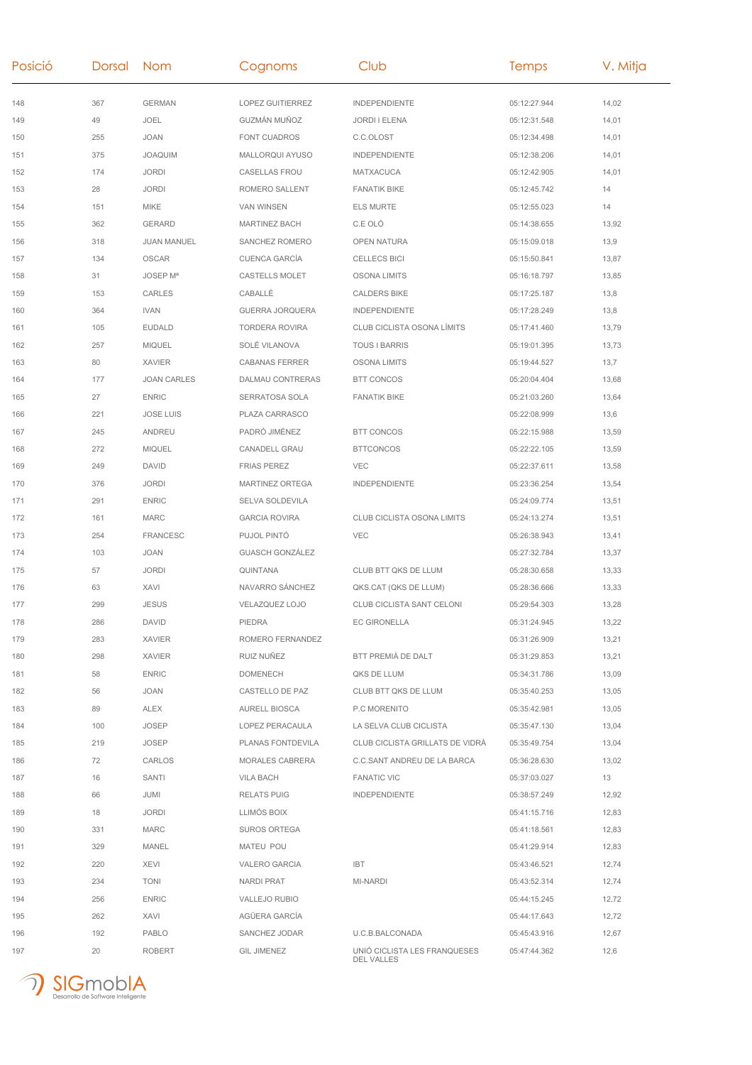| Posició | Dorsal Nom |                    | Cognoms                | Club                                       | Temps        | V. Mitja |
|---------|------------|--------------------|------------------------|--------------------------------------------|--------------|----------|
| 148     | 367        | <b>GERMAN</b>      | LOPEZ GUITIERREZ       | INDEPENDIENTE                              | 05:12:27.944 | 14,02    |
| 149     | 49         | JOEL               | GUZMÁN MUÑOZ           | <b>JORDI I ELENA</b>                       | 05:12:31.548 | 14,01    |
| 150     | 255        | <b>JOAN</b>        | FONT CUADROS           | C.C.OLOST                                  | 05:12:34.498 | 14,01    |
| 151     | 375        | <b>JOAQUIM</b>     | MALLORQUI AYUSO        | <b>INDEPENDIENTE</b>                       | 05:12:38.206 | 14,01    |
| 152     | 174        | <b>JORDI</b>       | CASELLAS FROU          | MATXACUCA                                  | 05:12:42.905 | 14,01    |
| 153     | 28         | <b>JORDI</b>       | ROMERO SALLENT         | <b>FANATIK BIKE</b>                        | 05:12:45.742 | 14       |
| 154     | 151        | <b>MIKE</b>        | <b>VAN WINSEN</b>      | <b>ELS MURTE</b>                           | 05:12:55.023 | 14       |
| 155     | 362        | GERARD             | <b>MARTINEZ BACH</b>   | C.E OLÓ                                    | 05:14:38.655 | 13,92    |
| 156     | 318        | <b>JUAN MANUEL</b> | SANCHEZ ROMERO         | OPEN NATURA                                | 05:15:09.018 | 13,9     |
| 157     | 134        | OSCAR              | <b>CUENCA GARCÍA</b>   | <b>CELLECS BICI</b>                        | 05:15:50.841 | 13,87    |
| 158     | 31         | JOSEP Mª           | CASTELLS MOLET         | OSONA LIMITS                               | 05:16:18.797 | 13,85    |
| 159     | 153        | CARLES             | CABALLÉ                | <b>CALDERS BIKE</b>                        | 05:17:25.187 | 13,8     |
| 160     | 364        | <b>IVAN</b>        | <b>GUERRA JORQUERA</b> | INDEPENDIENTE                              | 05:17:28.249 | 13,8     |
| 161     | 105        | <b>EUDALD</b>      | <b>TORDERA ROVIRA</b>  | <b>CLUB CICLISTA OSONA LÍMITS</b>          | 05:17:41.460 | 13,79    |
| 162     | 257        | <b>MIQUEL</b>      | SOLÉ VILANOVA          | <b>TOUS I BARRIS</b>                       | 05:19:01.395 | 13,73    |
| 163     | 80         | <b>XAVIER</b>      | <b>CABANAS FERRER</b>  | <b>OSONA LIMITS</b>                        | 05:19:44.527 | 13,7     |
| 164     | 177        | <b>JOAN CARLES</b> | DALMAU CONTRERAS       | <b>BTT CONCOS</b>                          | 05:20:04.404 | 13,68    |
| 165     | 27         | <b>ENRIC</b>       | SERRATOSA SOLA         | <b>FANATIK BIKE</b>                        | 05:21:03.260 | 13,64    |
| 166     | 221        | <b>JOSE LUIS</b>   | PLAZA CARRASCO         |                                            | 05:22:08.999 | 13,6     |
| 167     | 245        | ANDREU             | PADRÓ JIMÉNEZ          | <b>BTT CONCOS</b>                          | 05:22:15.988 | 13,59    |
| 168     | 272        | <b>MIQUEL</b>      | CANADELL GRAU          | <b>BTTCONCOS</b>                           | 05:22:22.105 | 13,59    |
| 169     | 249        | <b>DAVID</b>       | <b>FRIAS PEREZ</b>     | <b>VEC</b>                                 | 05:22:37.611 | 13,58    |
| 170     | 376        | <b>JORDI</b>       | MARTINEZ ORTEGA        | INDEPENDIENTE                              | 05:23:36.254 | 13,54    |
| 171     | 291        | <b>ENRIC</b>       | SELVA SOLDEVILA        |                                            | 05:24:09.774 | 13,51    |
| 172     | 161        | <b>MARC</b>        | <b>GARCIA ROVIRA</b>   | CLUB CICLISTA OSONA LIMITS                 | 05:24:13.274 | 13,51    |
| 173     | 254        | <b>FRANCESC</b>    | PUJOL PINTÓ            | <b>VEC</b>                                 | 05:26:38.943 | 13,41    |
| 174     | 103        | JOAN               | <b>GUASCH GONZÁLEZ</b> |                                            | 05:27:32.784 | 13,37    |
| 175     | 57         | <b>JORDI</b>       | QUINTANA               | CLUB BTT QKS DE LLUM                       | 05:28:30.658 | 13,33    |
| 176     | 63         | XAVI               | NAVARRO SÁNCHEZ        | QKS.CAT (QKS DE LLUM)                      | 05:28:36.666 | 13,33    |
| 177     | 299        | <b>JESUS</b>       | VELAZQUEZ LOJO         | CLUB CICLISTA SANT CELONI                  | 05:29:54.303 | 13,28    |
| 178     | 286        | DAVID              | PIEDRA                 | <b>EC GIRONELLA</b>                        | 05:31:24.945 | 13,22    |
| 179     | 283        | <b>XAVIER</b>      | ROMERO FERNANDEZ       |                                            | 05:31:26.909 | 13,21    |
| 180     | 298        | <b>XAVIER</b>      | RUIZ NUÑEZ             | BTT PREMIÀ DE DALT                         | 05:31:29.853 | 13,21    |
| 181     | 58         | <b>ENRIC</b>       | <b>DOMENECH</b>        | QKS DE LLUM                                | 05:34:31.786 | 13,09    |
| 182     | 56         | JOAN               | CASTELLO DE PAZ        | CLUB BTT QKS DE LLUM                       | 05:35:40.253 | 13,05    |
| 183     | 89         | ALEX               | <b>AURELL BIOSCA</b>   | P.C MORENITO                               | 05:35:42.981 | 13,05    |
| 184     | 100        | <b>JOSEP</b>       | LOPEZ PERACAULA        | LA SELVA CLUB CICLISTA                     | 05:35:47.130 | 13,04    |
| 185     | 219        | <b>JOSEP</b>       | PLANAS FONTDEVILA      | CLUB CICLISTA GRILLATS DE VIDRÁ            | 05:35:49.754 | 13,04    |
| 186     | 72         | CARLOS             | MORALES CABRERA        | C.C.SANT ANDREU DE LA BARCA                | 05:36:28.630 | 13,02    |
| 187     | 16         | SANTI              | VILA BACH              | <b>FANATIC VIC</b>                         | 05:37:03.027 | 13       |
| 188     | 66         | JUMI               | <b>RELATS PUIG</b>     | <b>INDEPENDIENTE</b>                       | 05:38:57.249 | 12,92    |
| 189     | 18         | <b>JORDI</b>       | LLIMÓS BOIX            |                                            | 05:41:15.716 | 12,83    |
| 190     | 331        | MARC               | <b>SUROS ORTEGA</b>    |                                            | 05:41:18.561 | 12,83    |
| 191     | 329        | MANEL              | MATEU POU              |                                            | 05:41:29.914 | 12,83    |
| 192     | 220        | <b>XEVI</b>        | VALERO GARCIA          | <b>IBT</b>                                 | 05:43:46.521 | 12,74    |
| 193     | 234        | <b>TONI</b>        | NARDI PRAT             | MI-NARDI                                   | 05:43:52.314 | 12,74    |
| 194     | 256        | <b>ENRIC</b>       | VALLEJO RUBIO          |                                            | 05:44:15.245 | 12,72    |
| 195     | 262        | XAVI               | AGÜERA GARCIA          |                                            | 05:44:17.643 | 12,72    |
| 196     | 192        | PABLO              | SANCHEZ JODAR          | U.C.B.BALCONADA                            | 05:45:43.916 | 12,67    |
| 197     | 20         | <b>ROBERT</b>      | <b>GIL JIMENEZ</b>     | UNIÓ CICLISTA LES FRANQUESES<br>DEL VALLES | 05:47:44.362 | 12,6     |